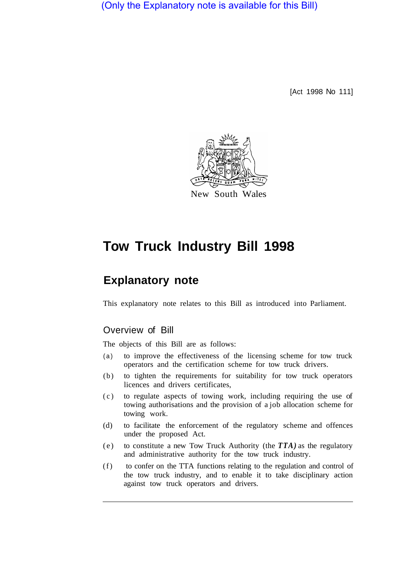(Only the Explanatory note is available for this Bill)

[Act 1998 No 111]



# **Tow Truck Industry Bill 1998**

## **Explanatory note**

This explanatory note relates to this Bill as introduced into Parliament.

## Overview of Bill

The objects of this Bill are as follows:

- (a) to improve the effectiveness of the licensing scheme for tow truck operators and the certification scheme for tow truck drivers.
- (b) to tighten the requirements for suitability for tow truck operators licences and drivers certificates,
- (c) to regulate aspects of towing work, including requiring the use of towing authorisations and the provision of a job allocation scheme for towing work.
- (d) to facilitate the enforcement of the regulatory scheme and offences under the proposed Act.
- (e) to constitute a new Tow Truck Authority (the *TTA)* as the regulatory and administrative authority for the tow truck industry.
- (f) to confer on the TTA functions relating to the regulation and control of the tow truck industry, and to enable it to take disciplinary action against tow truck operators and drivers.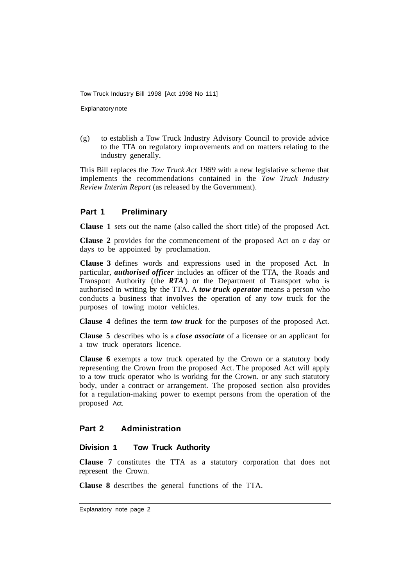Explanatory note

(g) to establish a Tow Truck Industry Advisory Council to provide advice to the TTA on regulatory improvements and on matters relating to the industry generally.

This Bill replaces the *Tow Truck Act 1989* with a new legislative scheme that implements the recommendations contained in the *Tow Truck Industry Review Interim Report* (as released by the Government).

## **Part 1 Preliminary**

**Clause 1** sets out the name (also called the short title) of the proposed Act.

**CIause 2** provides for the commencement of the proposed Act on *a* day or days to be appointed by proclamation.

**Clause 3** defines words and expressions used in the proposed Act. In particular, *authorised officer* includes an officer of the TTA, the Roads and Transport Authority (the *RTA* ) or the Department of Transport who is authorised in writing by the TTA. A *tow truck operator* means a person who conducts a business that involves the operation of any tow truck for the purposes of towing motor vehicles.

**Clause 4** defines the term *tow truck* for the purposes of the proposed Act.

**Clause 5** describes who is a *close associate* of a licensee or an applicant for a tow truck operators licence.

**Clause 6** exempts a tow truck operated by the Crown or a statutory body representing the Crown from the proposed Act. The proposed Act will apply to a tow truck operator who is working for the Crown. or any such statutory body, under a contract or arrangement. The proposed section also provides for a regulation-making power to exempt persons from the operation of the proposed Act.

## **Part 2 Administration**

## **Division 1 Tow Truck Authority**

**Clause 7** constitutes the TTA as a statutory corporation that does not represent the Crown.

**Clause 8** describes the general functions of the TTA.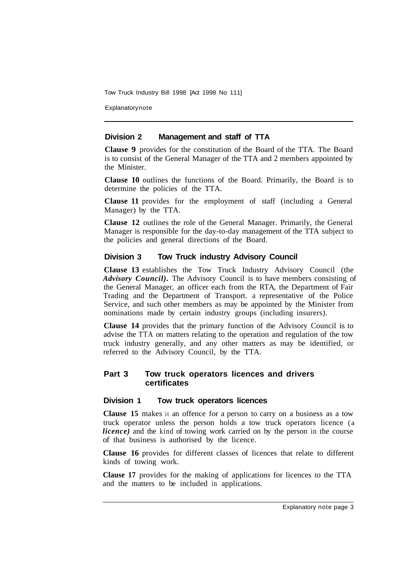Explanatorynote

#### **Division 2 Management and staff of TTA**

**Clause 9** provides for the constitution of the Board of the TTA. The Board is to consist of the General Manager of the TTA and 2 members appointed by the Minister.

**Clause 10** outlines the functions of the Board. Primarily, the Board is to determine the policies of the TTA.

**Clause 11** provides for the employment of staff (including a General Manager) by the TTA.

**Clause 12** outlines the role of the General Manager. Primarily, the General Manager is responsible for the day-to-day management of the TTA subject to the policies and general directions of the Board.

## **Division 3 Tow Truck industry Advisory Council**

**Clause 13** establishes the Tow Truck Industry Advisory Council (the *Advisory Council).* The Advisory Council is to have members consisting of the General Manager, an officer each from the RTA, the Department of Fair Trading and the Department of Transport. a representative of the Police Service, and such other members as may be appointed by the Minister from nominations made by certain industry groups (including insurers).

**Clause 14** provides that the primary function of the Advisory Council is to advise the TTA on matters relating to the operation and regulation of the tow truck industry generally, and any other matters as may be identified, or referred to the Advisory Council, by the TTA.

## **Part 3 Tow truck operators licences and drivers certificates**

#### **Division 1 Tow truck operators licences**

**Clause 15** makes it an offence for a person to carry on a business as a tow truck operator unless the person holds a tow truck operators licence (a *licence*) and the kind of towing work carried on by the person in the course of that business is authorised by the licence.

**Clause 16** provides for different classes of licences that relate to different kinds of towing work.

**Clause 17** provides for the making of applications for licences to the TTA and the matters to be included in applications.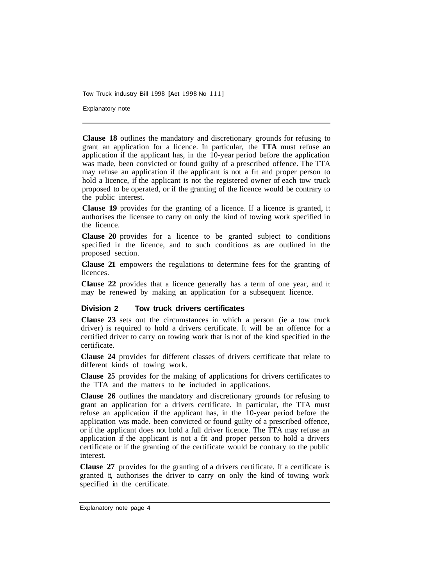Explanatory note

**Clause 18** outlines the mandatory and discretionary grounds for refusing to grant an application for a licence. In particular, the **TTA** must refuse an application if the applicant has, in the 10-year period before the application was made, been convicted or found guilty of a prescribed offence. The TTA may refuse an application if the applicant is not a fit and proper person to hold a licence, if the applicant is not the registered owner of each tow truck proposed to be operated, or if the granting of the licence would be contrary to the public interest.

**Clause 19** provides for the granting of a licence. If a licence is granted, it authorises the licensee to carry on only the kind of towing work specified in the licence.

**Clause 20** provides for a licence to be granted subject to conditions specified in the licence, and to such conditions as are outlined in the proposed section.

**Clause 21** empowers the regulations to determine fees for the granting of licences.

**Clause 22** provides that a licence generally has a term of one year, and it may be renewed by making an application for a subsequent licence.

#### **Division 2 Tow truck drivers certificates**

**Clause 23** sets out the circumstances in which a person (ie a tow truck driver) is required to hold a drivers certificate. It will be an offence for a certified driver to carry on towing work that is not of the kind specified in the certificate.

**Clause 24** provides for different classes of drivers certificate that relate to different kinds of towing work.

**Clause 25** provides for the making of applications for drivers certificates to the TTA and the matters to be included in applications.

**Clause 26** outlines the mandatory and discretionary grounds for refusing to grant an application for a drivers certificate. In particular, the TTA must refuse an application if the applicant has, in the 10-year period before the application was made. been convicted or found guilty of a prescribed offence, or if the applicant does not hold a full driver licence. The TTA may refuse an application if the applicant is not a fit and proper person to hold a drivers certificate or if the granting of the certificate would be contrary to the public interest.

**Clause 27** provides for the granting of a drivers certificate. If a certificate is granted it, authorises the driver to carry on only the kind of towing work specified in the certificate.

Explanatory note page 4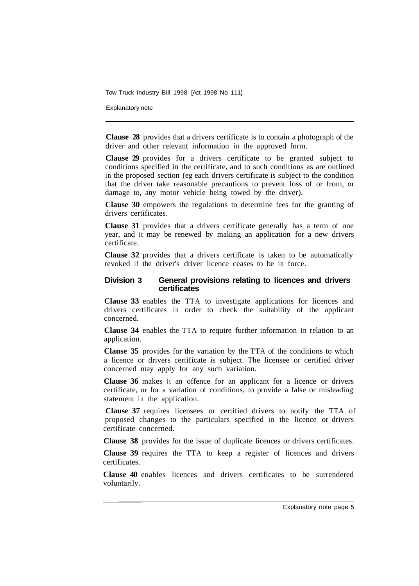Explanatory note

**Clause 28** provides that a drivers certificate is to contain a photograph of the driver and other relevant information in the approved form.

**Clause 29** provides for a drivers certificate to be granted subject to conditions specified in the certificate, and to such conditions as are outlined in the proposed section (eg each drivers certificate is subject to the condition that the driver take reasonable precautions to prevent loss of or from, or damage to, any motor vehicle being towed by the driver).

**Clause 30** empowers the regulations to determine fees for the granting of drivers certificates.

**Clause 31** provides that a drivers certificate generally has a term of one year, and it may be renewed by making an application for a new drivers certificate.

**Clause 32** provides that a drivers certificate is taken to be automatically revoked if the driver's driver licence ceases to be in force.

#### **Division 3 General provisions relating to licences and drivers certificates**

**Clause 33** enables the TTA to investigate applications for licences and drivers certificates in order to check the suitability of the applicant concerned.

**Clause 34** enables the TTA to require further information in relation to an application.

**Clause 35** provides for the variation by the TTA of the conditions to which a licence or drivers certificate is subject. The licensee or certified driver concerned may apply for any such variation.

**Clause 36** makes it an offence for an applicant for a licence or drivers certificate, or for a variation of conditions, to provide a false or misleading statement in the application.

**Clause 37** requires licensees or certified drivers to notify the TTA of proposed changes to the particulars specified in the licence or drivers certificate concerned.

**Clause 38** provides for the issue of duplicate licences or drivers certificates.

**Clause 39** requires the TTA to keep a register of licences and drivers certificates.

**Clause 40** enables licences and drivers certificates to be surrendered voluntarily.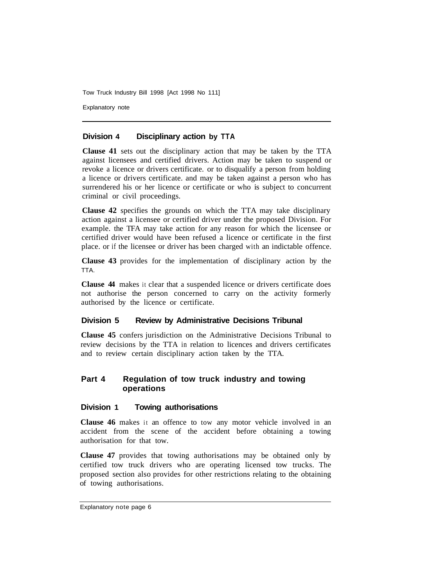Explanatory note

## **Division 4 Disciplinary action by TTA**

**Clause 41** sets out the disciplinary action that may be taken by the TTA against licensees and certified drivers. Action may be taken to suspend or revoke a licence or drivers certificate. or to disqualify a person from holding a licence or drivers certificate. and may be taken against a person who has surrendered his or her licence or certificate or who is subject to concurrent criminal or civil proceedings.

**Clause 42** specifies the grounds on which the TTA may take disciplinary action against a licensee or certified driver under the proposed Division. For example. the TFA may take action for any reason for which the licensee or certified driver would have been refused a licence or certificate in the first place. or if the licensee or driver has been charged with an indictable offence.

**Clause 43** provides for the implementation of disciplinary action by the TTA.

**Clause 44** makes it clear that a suspended licence or drivers certificate does not authorise the person concerned to carry on the activity formerly authorised by the licence or certificate.

## **Division 5 Review by Administrative Decisions Tribunal**

**Clause 45** confers jurisdiction on the Administrative Decisions Tribunal to review decisions by the TTA in relation to licences and drivers certificates and to review certain disciplinary action taken by the TTA.

## **Part 4 Regulation of tow truck industry and towing operations**

#### **Division 1 Towing authorisations**

**Clause 46** makes it an offence to tow any motor vehicle involved in an accident from the scene of the accident before obtaining a towing authorisation for that tow.

**Clause 47** provides that towing authorisations may be obtained only by certified tow truck drivers who are operating licensed tow trucks. The proposed section also provides for other restrictions relating to the obtaining of towing authorisations.

Explanatory note page 6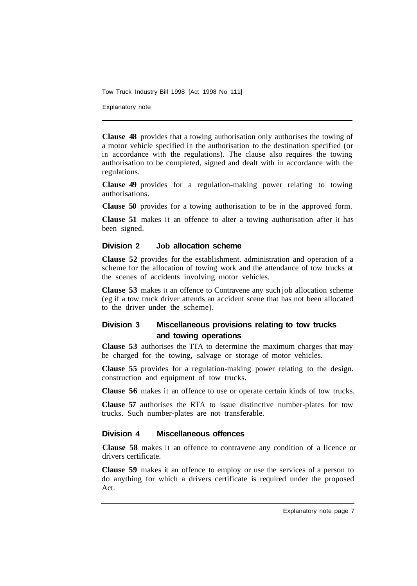Explanatory note

**Clause 48** provides that a towing authorisation only authorises the towing of a motor vehicle specified in the authorisation to the destination specified (or in accordance with the regulations). The clause also requires the towing authorisation to be completed, signed and dealt with in accordance with the regulations.

**Clause 49** provides for a regulation-making power relating to towing authorisations.

**Clause 50** provides for a towing authorisation to be in the approved form.

**Clause 51** makes it an offence to alter a towing authorisation after it has been signed.

## **Division 2 Job allocation scheme**

**Clause 52** provides for the establishment. administration and operation of a scheme for the allocation of towing work and the attendance of tow trucks at the scenes of accidents involving motor vehicles.

**Clause 53** makes it an offence to Contravene any such job allocation scheme (eg if a tow truck driver attends an accident scene that has not been allocated to the driver under the scheme).

## **Division 3 Miscellaneous provisions relating to tow trucks and towing operations**

**Clause 53** authorises the TTA to determine the maximum charges that may be charged for the towing, salvage or storage of motor vehicles.

**Clause 55** provides for a regulation-making power relating to the design. construction and equipment of tow trucks.

**Clause 56** makes it an offence to use or operate certain kinds of tow trucks.

**Clause 57** authorises the RTA to issue distinctive number-plates for tow trucks. Such number-plates are not transferable.

#### **Division 4 Miscellaneous offences**

**Clause 58** makes it an offence to contravene any condition of a licence or drivers certificate.

**Clause 59** makes it an offence to employ or use the services of a person to do anything for which a drivers certificate is required under the proposed Act.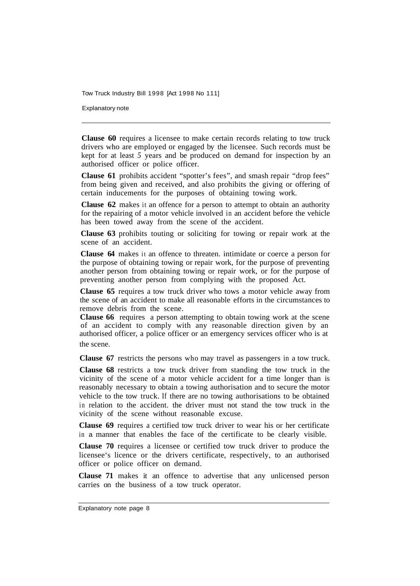Explanatory note

**Clause 60** requires a licensee to make certain records relating to tow truck drivers who are employed or engaged by the licensee. Such records must be kept for at least *5* years and be produced on demand for inspection by an authorised officer or police officer.

**Clause 61** prohibits accident "spotter's fees", and smash repair "drop fees" from being given and received, and also prohibits the giving or offering of certain inducements for the purposes of obtaining towing work.

**Clause 62** makes it an offence for a person to attempt to obtain an authority for the repairing of a motor vehicle involved in an accident before the vehicle has been towed away from the scene of the accident.

**Clause 63** prohibits touting or soliciting for towing or repair work at the scene of an accident.

**Clause 64** makes it an offence to threaten. intimidate or coerce a person for the purpose of obtaining towing or repair work, for the purpose of preventing another person from obtaining towing or repair work, or for the purpose of preventing another person from complying with the proposed Act.

**Clause 65** requires a tow truck driver who tows a motor vehicle away from the scene of an accident to make all reasonable efforts in the circumstances to remove debris from the scene.

**Clause 66** requires a person attempting to obtain towing work at the scene of an accident to comply with any reasonable direction given by an authorised officer, a police officer or an emergency services officer who is at the scene.

**Clause 67** restricts the persons who may travel as passengers in a tow truck.

**Clause 68** restricts a tow truck driver from standing the tow truck in the vicinity of the scene of a motor vehicle accident for a time longer than is reasonably necessary to obtain a towing authorisation and to secure the motor vehicle to the tow truck. If there are no towing authorisations to be obtained in relation to the accident. the driver must not stand the tow truck in the vicinity of the scene without reasonable excuse.

**Clause 69** requires a certified tow truck driver to wear his or her certificate in a manner that enables the face of the certificate to be clearly visible.

**Clause 70** requires a licensee or certified tow truck driver to produce the licensee's licence or the drivers certificate, respectively, to an authorised officer or police officer on demand.

**Clause 71** makes it an offence to advertise that any unlicensed person carries on the business of a tow truck operator.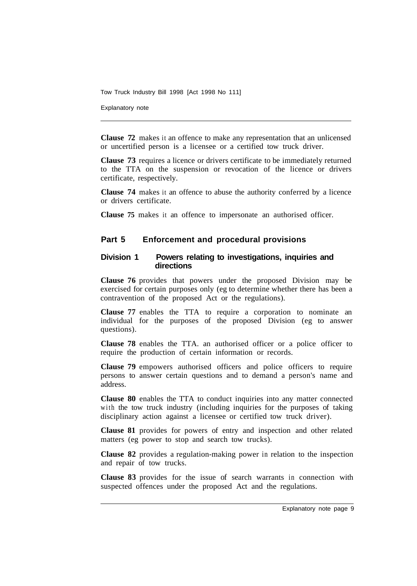Explanatory note

**Clause 72** makes it an offence to make any representation that an unlicensed or uncertified person is a licensee or a certified tow truck driver.

**Clause 73** requires a licence or drivers certificate to be immediately returned to the TTA on the suspension or revocation of the licence or drivers certificate, respectively.

**Clause 74** makes it an offence to abuse the authority conferred by a licence or drivers certificate.

**Clause 75** makes it an offence to impersonate an authorised officer.

## **Part 5 Enforcement and procedural provisions**

#### **Division 1 Powers relating to investigations, inquiries and directions**

**Clause 76** provides that powers under the proposed Division may be exercised for certain purposes only (eg to determine whether there has been a contravention of the proposed Act or the regulations).

**Clause 77** enables the TTA to require a corporation to nominate an individual for the purposes of the proposed Division (eg to answer questions).

**Clause 78** enables the TTA. an authorised officer or a police officer to require the production of certain information or records.

**Clause 79** empowers authorised officers and police officers to require persons to answer certain questions and to demand a person's name and address.

**Clause 80** enables the TTA to conduct inquiries into any matter connected with the tow truck industry (including inquiries for the purposes of taking disciplinary action against a licensee or certified tow truck driver).

**Clause 81** provides for powers of entry and inspection and other related matters (eg power to stop and search tow trucks).

**Clause 82** provides a regulation-making power in relation to the inspection and repair of tow trucks.

**Clause 83** provides for the issue of search warrants in connection with suspected offences under the proposed Act and the regulations.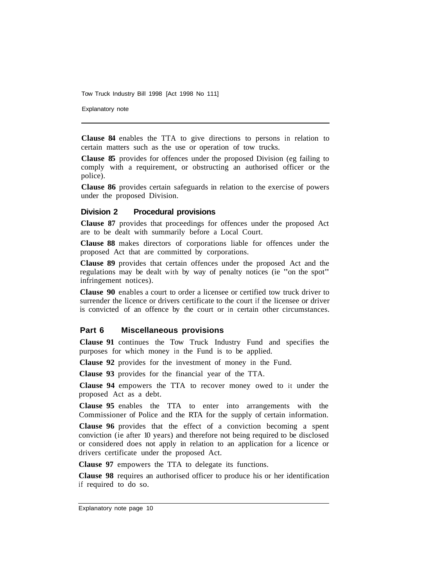Explanatory note

**Clause 84** enables the TTA to give directions to persons in relation to certain matters such as the use or operation of tow trucks.

**Clause 85** provides for offences under the proposed Division (eg failing to comply with a requirement, or obstructing an authorised officer or the police).

**Clause 86** provides certain safeguards in relation to the exercise of powers under the proposed Division.

#### **Division 2 Procedural provisions**

**Clause 87** provides that proceedings for offences under the proposed Act are to be dealt with summarily before a Local Court.

**Clause 88** makes directors of corporations liable for offences under the proposed Act that are committed by corporations.

**Clause 89** provides that certain offences under the proposed Act and the regulations may be dealt with by way of penalty notices (ie "on the spot" infringement notices).

**Clause 90** enables a court to order a licensee or certified tow truck driver to surrender the licence or drivers certificate to the court if the licensee or driver is convicted of an offence by the court or in certain other circumstances.

#### **Part 6 Miscellaneous provisions**

**Clause 91** continues the Tow Truck Industry Fund and specifies the purposes for which money in the Fund is to be applied.

**Clause 92** provides for the investment of money in the Fund.

**Clause 93** provides for the financial year of the TTA.

**Clause 94** empowers the TTA to recover money owed to it under the proposed Act as a debt.

**Clause 95** enables the TTA to enter into arrangements with the Commissioner of Police and the RTA for the supply of certain information.

**Clause 96** provides that the effect of a conviction becoming a spent conviction (ie after 10 years) and therefore not being required to be disclosed or considered does not apply in relation to an application for a licence or drivers certificate under the proposed Act.

**Clause 97** empowers the TTA to delegate its functions.

**Clause 98** requires an authorised officer to produce his or her identification if required to do so.